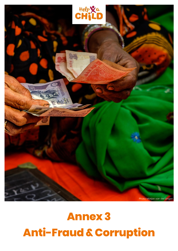

# **Annex 3 Anti-Fraud & Corruption**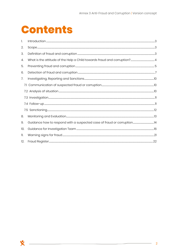# **Contents**

| $\mathbf{L}$ |  |
|--------------|--|
| 2.           |  |
| 3.           |  |
| 4.           |  |
| 5.           |  |
| 6.           |  |
| 7.           |  |
|              |  |
|              |  |
|              |  |
|              |  |
|              |  |
| 8.           |  |
| 9.           |  |
| 10.          |  |
| 11.          |  |
| 12.          |  |

<u> 1980 - Johann Barn, mars and de Branch Barn, mars and de Branch Barn, mars and de Branch Barn, mars and de Br</u>

 $\mathbf x$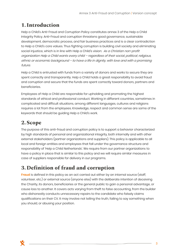# <span id="page-2-0"></span>**1. Introduction**

Help a Child's Anti-Fraud and Corruption Policy constitutes annex 3 of the Help a Child Integrity Policy. Anti-Fraud and corruption threatens good governance, sustainable development, democratic process, and fair business practices and is a clear contradiction to Help a Child's core values. Thus fighting corruption is building civil society and eliminating social injustice, which is in line with Help a Child's vision: As a Christian non-profit organization Help a Child wants every child – regardless of their social, political, religious, ethnic or economic background – to have a life in dignity, with love and with a promising future.

Help a Child is entrusted with funds from a variety of donors and works to secure they are spent correctly and transparently. Help a Child holds a great responsibility to avoid fraud and corruption and secure that the funds are spent correctly toward donors, partners and beneficiaries.

Employees of Help a Child are responsible for upholding and promoting the highest standards of ethical and professional conduct. Working in different countries, sometimes in complicated and difficult situations, among different languages, cultures and religions requires a lot from the employees. Knowledge, respect and common sense are some of the keywords that should be guiding Help a Child's work.

# <span id="page-2-1"></span>**2.Scope**

The purpose of this anti-fraud and corruption policy is to support a behavior characterized by high standards of personal and organizational integrity, both internally and with other external stakeholders (partner organizations and suppliers). This policy is applicable to all local and foreign entities and employees that fall under the governance structure and responsibility of 'Help a Child Netherlands'. We require from our partner organizations to have a policy in place that is similar to this policy and we will require similar measures in case of suppliers responsible for delivery in our programs.

# <span id="page-2-2"></span>**3.Definition of fraud and corruption**

**Fraud** is defined in this policy as an act carried out either by an internal source (staff, volunteer, etc.) or external source (anyone else) with the deliberate intention of deceiving the Charity, its donors, beneficiaries or the general public to gain a personal advantage, or cause loss to another. It covers acts varying from theft to false accounting, from the builder who dishonestly conducts unnecessary repairs to the candidate who falsely claims qualifications on their CV. It may involve not telling the truth, failing to say something when you should, or abusing your position.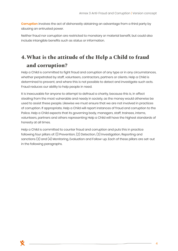**Corruption** involves the act of dishonestly obtaining an advantage from a third party by abusing an entrusted power.

Neither fraud nor corruption are restricted to monetary or material benefit, but could also include intangible benefits such as status or information.

# <span id="page-3-0"></span>**4.What is the attitude of the Help a Child to fraud and corruption?**

Help a Child is committed to fight fraud and corruption of any type or in any circumstances, whether perpetrated by staff, volunteers, contractors, partners or clients. Help a Child is determined to prevent, and where this is not possible to detect and investigate such acts. Fraud reduces our ability to help people in need.

It is inexcusable for anyone to attempt to defraud a charity, because this is, in effect stealing from the most vulnerable and needy in society, as the money would otherwise be used to assist these people. Likewise we must ensure that we are not involved in practices of corruption. If appropriate, Help a Child will report instances of fraud and corruption to the Police. Help a Child expects that its governing body, managers, staff, trainees, interns, volunteers, partners and others representing Help a Child will have the highest standards of honesty at all times.

Help a Child is committed to counter fraud and corruption and puts this in practice following four pillars of: (1) Prevention, (2) Detection, (3) Investigation, Reporting and sanctions (3) and (4) Monitoring, Evaluation and Follow-up. Each of these pillars are set-out in the following paragraphs.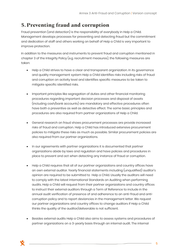# <span id="page-4-0"></span>**5.Preventing fraud and corruption**

Fraud prevention (and detection) is the responsibility of everybody in Help a Child. Management develops processes for preventing and detecting fraud but the commitment and dedication of staff and others working on behalf of Help a Child is very important to improve protection.

In addition to the measures and instruments to prevent fraud and corruption mentioned in chapter 3 of the Integrity Policy (e.g. recruitment measures), the following measures are taken:

- Help a Child strives to have a clear and transparent organization. In its governance and quality management system Help a Child identifies risks including risks of fraud and corruption on activity level and identifies specific measures to be taken to mitigate specific identified risks.
- Important principles like segregation of duties and other financial monitoring procedures regarding important decision processes and disposal of assets (including cash/bank accounts) are mandatory and effective procedures often have both a preventive as well as detective effect. The same basic principles and procedures are also required from partner organizations of Help a Child.
- General research on fraud shows procurement processes are provide increased risks of fraud and corruption. Help a Child has introduced extensive procurement policies to mitigate these risks as much as possible. Similar procurement policies are also required from our partner organizations.
- In our agreements with partner organizations it is documented that partner organizations abide by laws and regulation and have policies and procedures in place to prevent and act when detecting any instance of fraud or corruption.
- Help a Child requires that all of our partner organizations and country offices have an own external auditor. Yearly financial statements including (unqualified) auditor's opinion are required to be submitted to Help a Child. Usually the auditors will need to comply with the latest International Standards on Auditing when performing audits. Help a Child will request from their partner organizations and country offices to instruct their external auditors through a Term of Reference to include in the annual audit verification of presence of and adherence to an anti-fraud and anticorruption policy and to report deviancies in the management letter. We request our partner organizations and country offices to change auditors if Help a Child thinks the quality of the auditor/deliverable is not sufficient.
- Besides external audits Help a Child also aims to assess systems and procedures of partner organizations on a 3-yearly basis through an internal audit. The internal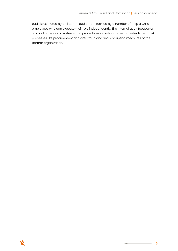audit is executed by an internal audit team formed by a number of Help a Child employees who can execute their role independently. The internal audit focuses on a broad category of systems and procedures including those that refer to high-risk processes like procurement and anti-fraud and anti-corruption measures of the partner organization.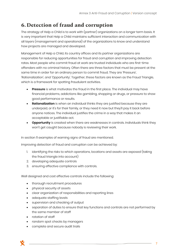# <span id="page-6-0"></span>**6.Detection of fraud and corruption**

The strategy of Help a Child is to work with (partner) organizations on a longer term basis. It is very important that Help a Child maintains sufficient interaction and communication with all layers (management and operational) of the organizations to know and understand how projects are managed and developed.

Management of Help a Child, its country offices and its partner organizations are responsible for reducing opportunities for fraud and corruption and improving detection rates. Most people who commit fraud at work are trusted individuals who are first-time offenders with no criminal history. Often there are three factors that must be present at the same time in order for an ordinary person to commit fraud. They are 'Pressure', 'Rationalization', and 'Opportunity'. Together, these factors are known as the Fraud Triangle, which is a framework for spotting fraudulent activities.

- **Pressure** is what motivates the fraud in the first place. The individual may have financial problems, addictions like gambling, shopping or drugs, or pressure to show good performance or results.
- **Rationalization** is when an individual thinks they are justified because they are underpaid, or it's for their family, or they need it now but they'll pay it back before anyone notices. The individual justifies the crime in a way that makes it an acceptable or justifiable act.
- **Opportunity** is created when there are weaknesses in controls. Individuals think they won't get caught because nobody is reviewing their work.

In section 11 examples of warning signs of fraud are mentioned.

Improving detection of fraud and corruption can be achieved by:

- 1. identifying the risks to which operations, locations and assets are exposed (taking the fraud triangle into account)
- 2. developing adequate controls
- 3. ensuring effective compliance with controls.

Well designed and cost effective controls include the following:

- thorough recruitment procedures
- physical security of assets
- clear organization of responsibilities and reporting lines
- adequate staffing levels
- supervision and checking of output
- separation of duties to ensure that key functions and controls are not performed by the same member of staff
- rotation of staff
- random spot checks by managers
- complete and secure audit trails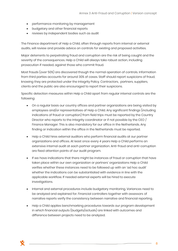- performance monitoring by management
- budgetary and other financial reports
- reviews by independent bodies such as audit

The Finance department of Help a Child, often through reports from internal or external audits, will review and provide advice on controls for existing and proposed activities.

Major deterrents to perpetrating fraud and corruption are the risk of being caught and the severity of the consequences. Help a Child will always take robust action, including prosecution if needed, against those who commit fraud.

Most frauds (over 50%) are discovered though the normal operation of controls. Information from third parties accounts for around 30% of cases. Staff should report suspicions of fraud, knowing they are protected under the Integrity Policy. Contractors, partners, suppliers, clients and the public are also encouraged to report their suspicions.

Specific detection measures within Help a Child apart from regular internal controls are the following:

- On a regular basis our country offices and partner organizations are being visited by employees and/or representatives of Help a Child. Any significant findings (including indications of fraud or corruption) from field trips must be reported by the Country Director who reports to the Integrity coordinator or if not possible by the CEO / Finance Manager. This is also mandatory for our office in the Netherlands. Any finding or indication within the office in the Netherlands must be reported.
- Help a Child hires external auditors who perform financial audits at our partner organizations and offices. At least once every 4 years Help a Child performs an extensive internal audit at each partner organization. Anti-fraud and anti-corruption are fixed attention points of our audit program.
- If we have indications that there might be instances of fraud or corruption that have taken place within our own organization or partners' organizations Help a Child verifies whether these instances need to be followed up with an 'ad hoc audit' whether the indications can be substantiated with evidence in line with the applicable workflow. If needed external experts will be hired to execute investigations.
- Internal and external procedures include budgetary monitoring. Variances need to be analyzed and explained for. Financial controllers together with assessors of narrative reports verify the consistency between narrative and financial reporting.
- Help a Child applies benchmarking procedures towards our program development in which financial outputs (budgets/actuals) are linked with outcomes and difference between projects need to be analyzed.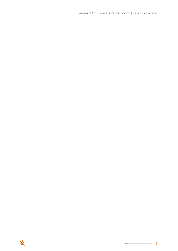<u> 1989 - Johann Barn, mars et al. (b. 1989)</u>

 $\overline{\phantom{0}}$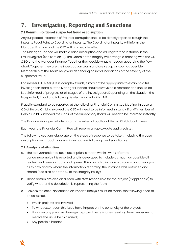# <span id="page-9-0"></span>**7. Investigating, Reporting and Sanctions**

#### <span id="page-9-1"></span>7.1 Communication of suspected fraud or corruption

Any suspected instances of fraud or corruption should be directly reported trough the Integrity Focal Point to Coordinator Integrity. The Coordinator Integrity will inform the Manager Finance and the CEO with immediate effect.

The Manager Finance will make a case description and will register the instance in the Fraud Register (see section 12). The Coordinator integrity will arrange a meeting with the CD ,CEO and the Manager Finance. Together they decide what is needed according the flow chart. Together they are the investigation team and are set up as soon as possible. Membership of the Team may vary depending on initial indications of the severity of the suspected fraud.

For smaller (< EUR 500), less complex frauds, it may not be appropriate to establish a full investigation team but the Manager Finance should always be a member and should be kept informed of progress at all stages of the investigation. Depending on the situation the (suspected) fraud and follow-up is also reported within MT.

Fraud is standard to be reported at the following Financial Committee Meeting. In case a CD of Help a Child is involved the CEO will need to be informed instantly. If a MT member of Help a Child is involved the Chair of the Supervisory Board will need to be informed instantly.

The Finance Manager will also inform the external auditor of Help a Child about cases.

Each year the Financial Committee will receive an up-to-date audit register.

The following sections elaborate on the steps of response to be taken, including the case description, an impact-analysis, investigation, follow-up and sanctioning.

#### <span id="page-9-2"></span>**7.2 Analysis of situation**

- a. The abovementioned case description is made within 1 week after the concern/complaint is reported and is developed to include as much as possible all related and relevant facts and figures. This must also include a circumstantial analysis as to how and by whom the information regarding the instance was obtained and shared (see also chapter 3.2 of the Integrity Policy).
- b. These details are also discussed with staff responsible for the project (if applicable) to verify whether the description is representing the facts.
- c. Besides the case-description an impact-analysis must be made, the following need to be assessed.
	- Which projects are involved;
	- To what extent can this issue have impact on the continuity of the project;
	- How can any possible damage to project beneficiaries resulting from measures to resolve the issue be minimized;
	- Any possible impact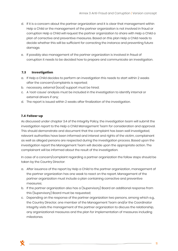- d. If it is a concern about the partner organization and it is clear that management within Help a Child or the management of the partner organization is not involved in fraud or corruption Help a Child will request the partner organization to share with Help a Child a plan of corrective and preventive measures. Based on this plan Help a Child needs to decide whether this will be sufficient for correcting the instance and preventing future damage.
- e. If possibly also management of the partner organization is involved in fraud of corruption it needs to be decided how to prepare and communicate an investigation.

#### <span id="page-10-0"></span> $7.3$ **Investigation**

- a. If Help a Child decides to perform an investigation this needs to start within 2 weeks after the concern/complaints is reported;
- b. necessary, external (local) support must be hired;
- c. A 'root-cause' analysis must be included in the investigation to identify internal or external drivers if any;
- d. The report is issued within 2 weeks after finalization of the investigation.

#### <span id="page-10-1"></span>7.4 Follow-up

As discussed under chapter 3.4 of the Integrity Policy, the investigation team will submit the investigation report to the Help a Child Management Team for consideration and approval. This should demonstrate and document that the complaint has been well investigated, relevant authorities have been informed and interest and rights of the victim, complainant as well as alleged persons are respected during the investigation process. Based upon the investigation report the Management Team will decide upon the appropriate action. The complainant will be informed about the result of the investigation.

In case of a concern/complaint regarding a partner organization the follow steps should be taken by the Country Director:

- a. After issuance of the report by Help a Child to the partner organization, management of the partner organization has one week to react on the report. Management of the partner organization must include a plan containing corrective and preventive measures;
- b. If the partner organization also has a (Supervisory) Board an additional response from this (Supervisory) Board must be requested;
- c. Depending on the response of the partner organization two persons, among which e.g., the Country Director, one member of the Management Team and/or the Coordinator Integrity visits the management of the partner organization to discuss the relationship, any organizational measures and the plan for implementation of measures including milestones.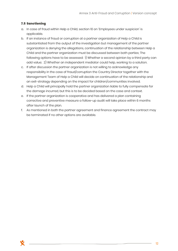#### <span id="page-11-0"></span>**7.5 Sanctioning**

- a. In case of fraud within Help a Child, section 10 on 'Employees under suspicion' is applicable.
- b. If an instance of fraud or corruption at a partner organization of Help a Child is substantiated from the output of the investigation but management of the partner organization is denying the allegations, continuation of the relationship between Help a Child and the partner organization must be discussed between both parties; The following options have to be assessed: 1) Whether a second opinion by a third party can add value; 2) Whether an independent mediator could help, working to a solution.
- c. If after discussion the partner organization is not willing to acknowledge any responsibility in the case of fraud/corruption the Country Director together with the Management Team of Help a Child will decide on continuation of the relationship and an exit-strategy depending on the impact for children/communities involved.
- d. Help a Child will principally hold the partner organization liable to fully compensate for the damage incurred, but this is to be decided based on the case and context.
- e. If the partner organization is cooperative and has delivered a plan containing corrective and preventive measure a follow-up audit will take place within 6 months after launch of the plan.
- f. As mentioned in both the partner agreement and finance agreement the contract may be terminated if no other options are available.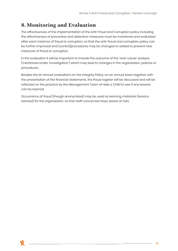# <span id="page-12-0"></span>**8.Monitoring and Evaluation**

The effectiveness of the implementation of the Anti-Fraud and Corruption policy including the effectiveness of preventive and detective measures must be monitored and evaluated after each instance of fraud or corruption, so that the anti-fraud and corruption policy can be further improved and (control)procedures may be changed or added to prevent new instances of fraud or corruption.

In the evaluation it will be important to include the outcome of the 'root-cause' analysis (mentioned under 'investigation') which may lead to changes in the organization, policies or procedures.

Besides the bi-annual evaluations on the Integrity Policy, on an annual basis together with the presentation of the financial statements, the fraud register will be discussed and will be reflected on the practice by the Management Team of Help a Child to see if any lessons can be learned.

Occurrence of fraud (though anonymized) may be used as learning materials (lessons learned) for the organization, so that staff concerned stays aware of risks.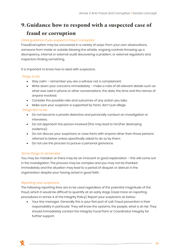# <span id="page-13-0"></span>**9.Guidance how to respond with a suspected case of fraud or corruption**

#### Initial guidance if you suspect a fraud / corruption

Fraud/corruption may be uncovered in a variety of ways: from your own observations, someone from inside or outside blowing the whistle, ongoing controls throwing up a discrepancy, internal or external audit discovering a problem, or external regulators and inspectors finding something.

It is important to know how to deal with suspicions.

#### Things to do:

- Stay calm remember you are a witness not a complainant;
- Write down your concerns immediately make a note of all relevant details such as what was said in phone or other conversations, the date, the time and the names of anyone involved;
- Consider the possible risks and outcomes of any action you take;
- Make sure your suspicion is supported by facts, don't just allege.

#### Things NOT to do:

- Do not become a private detective and personally conduct an investigation or interviews;
- Do not approach the person involved (this may lead to him/her destroying evidence);
- Do not discuss your suspicions or case facts with anyone other than those persons referred to below unless specifically asked to do so by them;
- Do not use the process to pursue a personal grievance.

#### Some things to remember:

You may be mistaken or there may be an innocent or good explanation – this will come out in the investigation. The process may be complex and you may not be thanked immediately and the situation may lead to a period of disquiet or distrust in the organisation despite your having acted in good faith.

#### Reporting your suspicions.

The following reporting lines are to be used regardless of the potential magnitude of the fraud, which it would be difficult to quantify at an early stage (read more on reporting procedures in annex 4 of the Integrity Policy). Report your suspicions as below:

• Your line manager. Generally this is your first port of call. Fraud prevention is their responsibility in particular. They will know the systems, the people, what is at risk. They should immediately contact the Integrity Focal Point or Coordinator Integrity for further support.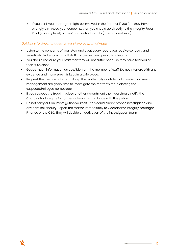• If you think your manager might be involved in the fraud or if you feel they have wrongly dismissed your concerns, then you should go directly to the Integrity Focal Point (country level) or the Coordinator Integrity (international level).

#### Guidance for line managers on receiving a report of fraud:

- Listen to the concerns of your staff and treat every report you receive seriously and sensitively. Make sure that all staff concerned are given a fair hearing.
- You should reassure your staff that they will not suffer because they have told you of their suspicions.
- Get as much information as possible from the member of staff. Do not interfere with any evidence and make sure it is kept in a safe place.
- Request the member of staff to keep the matter fully confidential in order that senior management are given time to investigate the matter without alerting the suspected/alleged perpetrator
- If you suspect the fraud involves another department then you should notify the Coordinator Integrity for further action in accordance with this policy.
- Do not carry out an investigation yourself this could hinder proper investigation and any criminal enquiry. Report the matter immediately to Coordinator Integrity, manager Finance or the CEO. They will decide on activation of the investigation team.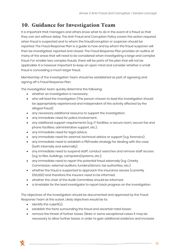## <span id="page-15-0"></span>**10. Guidance for Investigation Team**

It is important that managers and others know what to do in the event of a fraud so that they can act without delay. The Anti-Fraud and Corruption Policy covers the action required when fraud is suspected and to whom the fraud/corruption or suspicion should be reported. The Fraud Response Plan is a guide to how and by whom the fraud suspicion will then be investigated, reported and closed. The Fraud Response Plan provides an outline of many of the areas that will need to be considered when investigating a large and complex fraud. For smaller less complex frauds, there will be parts of the plan that will not be applicable. It is however important to keep an open mind and consider whether a small fraud is concealing a much larger fraud.

Membership of the Investigation Team should be established as part of agreeing and signing off a Fraud Response Plan.

The Investigation team quickly determine the following:

- whether an investigation is necessary;
- who will lead the investigation (The person chosen to lead the investigation should be appropriately experienced and independent of the activity affected by the alleged fraud);
- any necessary additional resource to support the investigation;
- any immediate need for police involvement;
- any additional support requirements (e.g. IT facilities, a secure room, secure fax and phone facilities, administrative support, etc.);
- any immediate need for legal advice;
- any immediate need for external, technical advice or support (e.g. forensics);
- any immediate need to establish a PR/media strategy for dealing with the case (both internally and externally);
- any immediate need to suspend staff; conduct searches and remove staff access (e.g. to files, buildings, computers/systems, etc.);
- any immediate need to report the potential fraud externally (e.g. Charity Commission, external auditors, funders/donors, tax authorities, etc.);
- whether the fraud is suspected to approach the insurance excess (currently £50,000) and therefore the insurers need to be informed;
- whether the chair of the Audit Committee should be informed;
- a timetable for the lead investigator to report back progress on the investigation.

The objectives of the investigation should be documented and approved by the Fraud Response Team at the outset. Likely objectives would be to:

- $\bullet$  identify the culprit(s);
- establish the facts surrounding the fraud and ascertain total losses;
- remove the threat of further losses. (Note: in some exceptional cases it may be necessary to allow further losses, in order to gain additional evidence and increase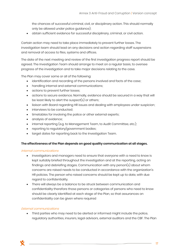the chances of successful criminal, civil, or disciplinary action. This should normally only be allowed under police guidance);

• obtain sufficient evidence for successful disciplinary, criminal, or civil action.

Certain action may need to take place immediately to prevent further losses. The investigation team should lead on any decisions and action regarding staff suspensions and removal of access to files, systems and offices.

The date of the next meeting and review of the first investigation progress report should be agreed. The Investigation Team should arrange to meet on a regular basis, to oversee progress of the investigation and to take major decisions relating to the case.

The Plan may cover some or all of the following:

- identification and recording of the persons involved and facts of the case;
- handling internal and external communications;
- actions to prevent further losses;
- actions to secure evidence. Normally, evidence should be secured in a way that will be least likely to alert the suspect(s) or others;
- liaison with Board regarding HR issues and dealing with employees under suspicion;
- interviews to be conducted
- timetables for involving the police or other external experts;
- analysis of evidence;
- internal reporting (e.g. to Management Team, to Audit Committee, etc.);
- reporting to regulatory/government bodies;
- target dates for reporting back to the Investigation Team.

#### **The effectiveness of the Plan depends on good quality communication at all stages.**

#### Internal communications

- Investigators and managers need to ensure that everyone with a need to know is kept suitably briefed throughout the investigation and at the reporting, acting on findings and debriefing stages. Communication with any person(s) about whom concerns are raised needs to be conducted in accordance with the organization's HR policies. The person who raised concerns should be kept up to date, with due regard to confidentiality.
- There will always be a balance to be struck between communication and confidentiality therefore those persons or categories of persons who need to know should be clearly identified at each stage of the Plan, so that assurances on confidentiality can be given where required

#### External communications

• Third parties who may need to be alerted or informed might include the police, regulatory authorities, insurers, legal advisors, external auditors and the CBF. The Plan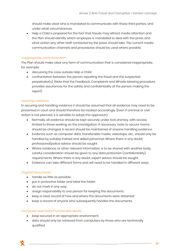should make clear who is mandated to communicate with these third parties, and under what circumstances.

• Help a Child is prepared for the fact that frauds may attract media attention and the Plan should identify which employee is mandated to deal with the press and what action any other staff contacted by the press should take. The current media communication channels and procedures should be used where possible

#### Inappropriate communication

The Plan should make clear any form of communication that is considered inappropriate, for example:

- discussing the case outside Help a Child;
- confrontation between the person reporting the fraud and the suspected perpetrator(s). (Note that the Feedback, Complaints and Whistle blowing procedure provides assurances for the safety and confidentiality of the person making the report)

#### Securing evidence

In securing and handling evidence it should be assumed that all evidence may need to be presented in court and should therefore be treated accordingly. (Even if criminal or civil action is not planned, it is sensible to adopt this approach).

- Normally, all evidence should be kept securely under lock and key, with access limited to those working on the investigation. If necessary, locks to secure rooms should be changed. A record should be maintained of anyone handling evidence.
- Evidence such as computer data, transferable media, videotape, etc., should only be handled by suitably trained and skilled personnel. Where there is any doubt, professional/police advice should be sought
- Where evidence, or other relevant information, is to be shared with another body, careful consideration should be given to any data protection (confidentiality) requirements. Where there is any doubt, expert advice should be sought.
- Evidence can take different forms and will need to be handled in different ways.

#### Original Documents

- handle as little as possible;
- put in protective folder and label the folder;
- do not mark in any way;
- assign responsibility to one person for keeping the documents;
- keep a clear record of how and where the documents were obtained;
- keep a record of anyone who subsequently handles the documents.

#### Computer Held Data/Transferable Media

- keep secured in an appropriate environment;
- data should only be retrieved from computers by those who are technically qualified.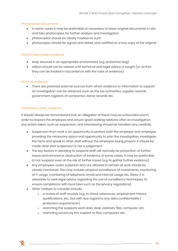#### Photocopied Documents

- in some cases it may be preferable or necessary to leave original documents in site and take photocopies for further analysis and investigation
- photocopies should be clearly marked as such
- photocopies should be signed and dated, and certified as a true copy of the original

#### DVD/CD Rom/Video Evidence

- $\bullet$  keep secured in an appropriate environment (e.g. protective bag);
- videos should not be viewed until technical and legal advice is sought (i.e. so that they can be treated in accordance with the rules of evidence).

#### External evidence

• There are potential external sources from which evidence or information to support an investigation can be obtained, such as the tax authorities, supplier records, government registers of companies, donor records etc.

#### Employees under suspicion

It should always be remembered that an allegation of fraud may be unfounded and in order to respect the employee and ensure good working relations after an investigation, any action taken, such as suspension, and interviewing should be handled very carefully.

- Suspension from work is an opportunity to protect both the employer and employee, providing the necessary space and opportunity to plan the investigation, investigate the facts and speak to other staff without the employee being present. It should be made clear that suspension is not a judgement.
- The key factors in deciding to suspend staff will normally be prevention of further losses and removal or destruction of evidence. In some cases, it may be preferable to not suspend even at the risk of further losses (e.g. to gather further evidence).
- Any employees under suspicion who are allowed to remain at work should be closely monitored. This may include: physical surveillance of movements, monitoring of IT usage, monitoring of telephone, email and internet usage etc. (Note: it is advisable to seek legal advice regarding the use of surveillance techniques, to ensure compliance with local laws such as the privacy regulations).
- Other matters to consider include:
	- o a review of staff records (e.g. to check references, employment history, qualifications, etc., but with due regard to any data confidentiality / protection requirements)
	- o searching the suspects work area; desk, cabinets, files, computer, etc.
	- o restricting access by the suspect to files, computers etc.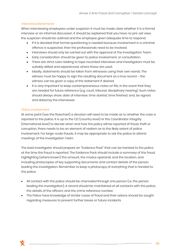#### Interviews/statements

When interviewing employees under suspicion it must be made clear whether it is a formal interview or an informal discussion. It should be explained that you have no pre-set view, the suspicion should be outlined and the employee given adequate time to respond.

- If it is decided that formal questioning is needed because involvement in a criminal offence is suspected, then the professionals need to be involved.
- Interviews should only be carried out with the approval of the Investigation Team.
- Early consideration should be given to police involvement, or consultation.
- There are strict rules relating to tape recorded interviews and investigators must be suitably skilled and experienced, where these are used.
- Ideally, statements should be taken from witnesses using their own words. The witness must be happy to sign the resulting document as a true record – the witness can be given a copy of the statement if desired.
- It is very important to keep contemporaneous notes on file, in the event that they are needed for future reference (e.g. court, tribunal, disciplinary hearing). Such notes should always show: date of interview; time started; time finished; and, be signed and dated by the interviewer.

#### Police involvement

At some point (see the flowchart) a decision will need to be made as to whether the case is reported to the police. It is up to the CD (country level) or the Coordinator Integrity (international level) to decide when and how the policy will be reported of fraud, theft or corruption, there needs to be an element of realism as to the likely extent of police involvement. For large-scale frauds, it may be appropriate to ask the police to attend meetings of the Investigation Team

The lead investigator should prepare an "Evidence Pack" that can be handed to the police at the time the fraud is reported. The Evidence Pack should include a summary of the fraud, highlighting (where known) the amount, the modus operandi, and the location, and including photocopies of key supporting documents and contact details of the person leading the investigation. Remember to keep a photocopy of everything that is handed to the police.

- All contact with the police should be channeled through one person (i.e. the person leading the investigation). A record should be maintained of all contacts with the police, the details of the officers, and the crime reference number.
- The Police have knowledge of similar cases of fraud and their advice should be sought regarding measures to prevent further losses or future incidents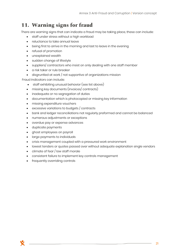### <span id="page-20-0"></span>**11. Warning signs for fraud**

There are warning signs that can indicate a fraud may be taking place, these can include:

- staff under stress without a high workload
- reluctance to take annual leave
- being first to arrive in the morning and last to leave in the evening
- refusal of promotion
- unexplained wealth
- sudden change of lifestyle
- suppliers/ contractors who insist on only dealing with one staff member
- a risk taker or rule breaker
- disgruntled at work / not supportive of organizations mission

Fraud Indicators can include:

- staff exhibiting unusual behavior (see list above)
- missing key documents (invoices/ contracts)
- inadequate or no segregation of duties
- documentation which is photocopied or missing key information
- missing expenditure vouchers
- excessive variations to budgets / contracts
- bank and ledger reconciliations not regularly preformed and cannot be balanced
- numerous adjustments or exceptions
- overdue pay or expense advances
- duplicate payments
- ghost employees on payroll
- large payments to individuals
- crisis management coupled with a pressured work environment
- lowest tenders or quotes passed over without adequate explanation single vendors
- climate of fear / low staff morale
- consistent failure to implement key controls management
- frequently overriding controls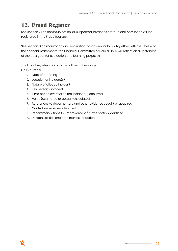# <span id="page-21-0"></span>**12. Fraud Register**

See section 7.1 on communication: all suspected instances of fraud and corruption will be registered in the Fraud Register.

See section 8 on monitoring and evaluation: on an annual basis, together with the review of the financial statements, the Financial Committee of Help a Child will reflect on all instances of the past year for evaluation and learning purposes

The Fraud Register contains the following headings:

Case number

- 1. Date of reporting
- 2. Location of incident(s)
- 3. Nature of alleged incident
- 4. Key persons involved
- 5. Time period over which the incident(s) occurred
- 6. Value (estimated or actual) associated
- 7. References to documentary and other evidence sought or acquired
- 8. Control weaknesses identified
- 9. Recommendations for improvement / further action identified
- 10. Responsibilities and time frames for action